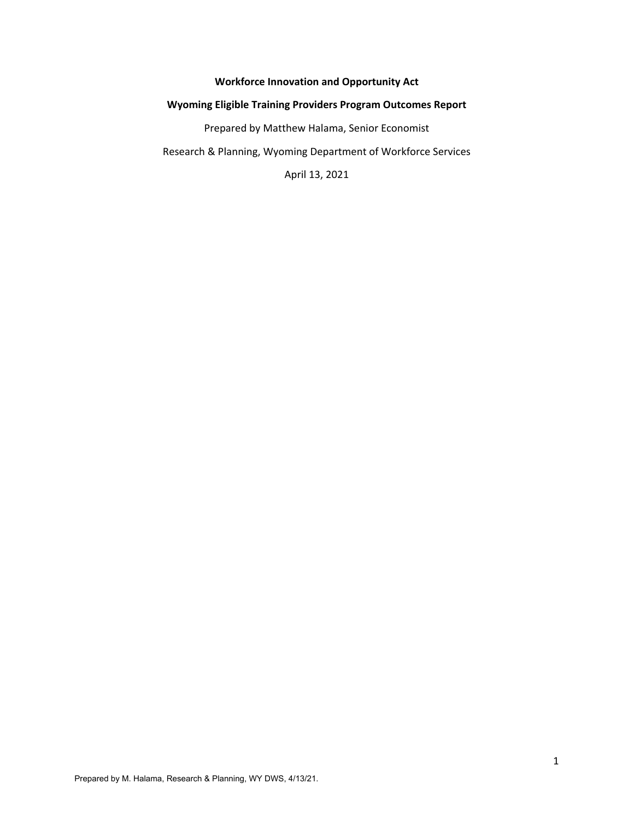# **Workforce Innovation and Opportunity Act**

## **Wyoming Eligible Training Providers Program Outcomes Report**

Prepared by Matthew Halama, Senior Economist

Research & Planning, Wyoming Department of Workforce Services

April 13, 2021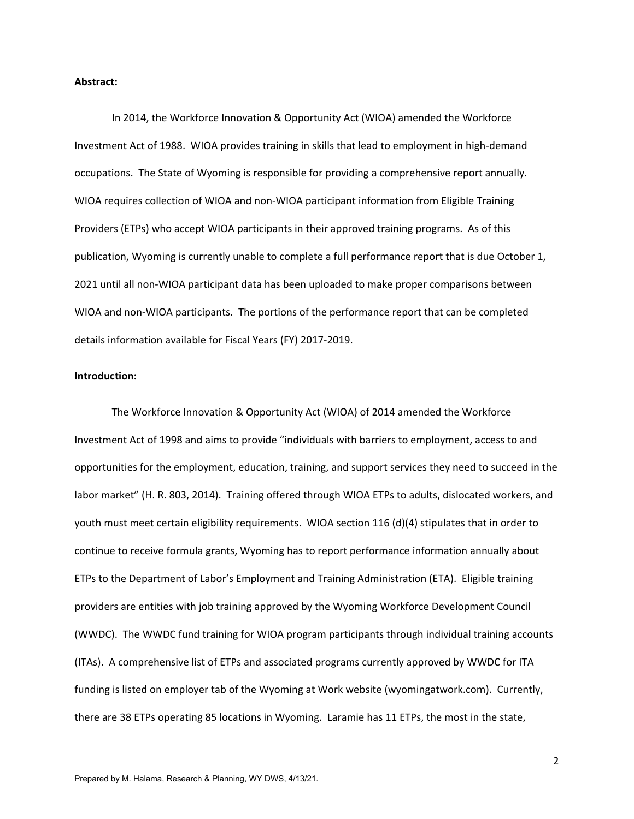#### **Abstract:**

In 2014, the Workforce Innovation & Opportunity Act (WIOA) amended the Workforce Investment Act of 1988. WIOA provides training in skills that lead to employment in high‐demand occupations. The State of Wyoming is responsible for providing a comprehensive report annually. WIOA requires collection of WIOA and non-WIOA participant information from Eligible Training Providers (ETPs) who accept WIOA participants in their approved training programs. As of this publication, Wyoming is currently unable to complete a full performance report that is due October 1, 2021 until all non‐WIOA participant data has been uploaded to make proper comparisons between WIOA and non‐WIOA participants. The portions of the performance report that can be completed details information available for Fiscal Years (FY) 2017‐2019.

### **Introduction:**

The Workforce Innovation & Opportunity Act (WIOA) of 2014 amended the Workforce Investment Act of 1998 and aims to provide "individuals with barriers to employment, access to and opportunities for the employment, education, training, and support services they need to succeed in the labor market" (H. R. 803, 2014). Training offered through WIOA ETPs to adults, dislocated workers, and youth must meet certain eligibility requirements. WIOA section 116 (d)(4) stipulates that in order to continue to receive formula grants, Wyoming has to report performance information annually about ETPs to the Department of Labor's Employment and Training Administration (ETA). Eligible training providers are entities with job training approved by the Wyoming Workforce Development Council (WWDC). The WWDC fund training for WIOA program participants through individual training accounts (ITAs). A comprehensive list of ETPs and associated programs currently approved by WWDC for ITA funding is listed on employer tab of the Wyoming at Work website (wyomingatwork.com). Currently, there are 38 ETPs operating 85 locations in Wyoming. Laramie has 11 ETPs, the most in the state,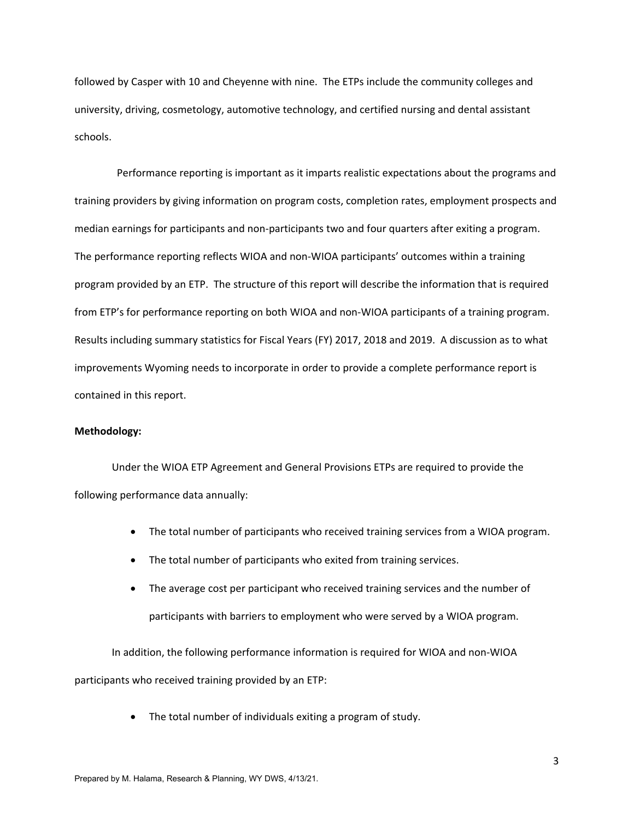followed by Casper with 10 and Cheyenne with nine. The ETPs include the community colleges and university, driving, cosmetology, automotive technology, and certified nursing and dental assistant schools.

 Performance reporting is important as it imparts realistic expectations about the programs and training providers by giving information on program costs, completion rates, employment prospects and median earnings for participants and non-participants two and four quarters after exiting a program. The performance reporting reflects WIOA and non‐WIOA participants' outcomes within a training program provided by an ETP. The structure of this report will describe the information that is required from ETP's for performance reporting on both WIOA and non-WIOA participants of a training program. Results including summary statistics for Fiscal Years (FY) 2017, 2018 and 2019. A discussion as to what improvements Wyoming needs to incorporate in order to provide a complete performance report is contained in this report.

### **Methodology:**

Under the WIOA ETP Agreement and General Provisions ETPs are required to provide the following performance data annually:

- The total number of participants who received training services from a WIOA program.
- The total number of participants who exited from training services.
- The average cost per participant who received training services and the number of participants with barriers to employment who were served by a WIOA program.

In addition, the following performance information is required for WIOA and non‐WIOA participants who received training provided by an ETP:

The total number of individuals exiting a program of study.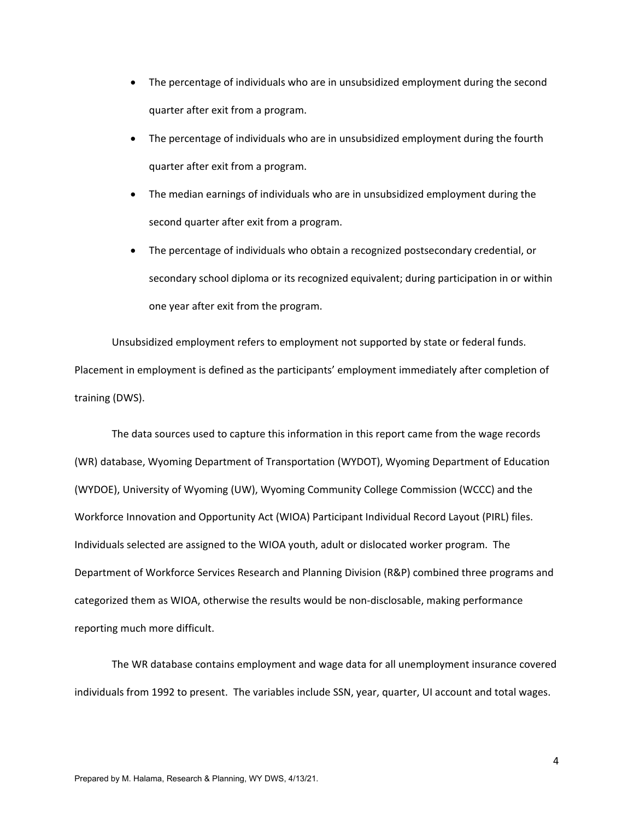- The percentage of individuals who are in unsubsidized employment during the second quarter after exit from a program.
- The percentage of individuals who are in unsubsidized employment during the fourth quarter after exit from a program.
- The median earnings of individuals who are in unsubsidized employment during the second quarter after exit from a program.
- The percentage of individuals who obtain a recognized postsecondary credential, or secondary school diploma or its recognized equivalent; during participation in or within one year after exit from the program.

Unsubsidized employment refers to employment not supported by state or federal funds. Placement in employment is defined as the participants' employment immediately after completion of training (DWS).

The data sources used to capture this information in this report came from the wage records (WR) database, Wyoming Department of Transportation (WYDOT), Wyoming Department of Education (WYDOE), University of Wyoming (UW), Wyoming Community College Commission (WCCC) and the Workforce Innovation and Opportunity Act (WIOA) Participant Individual Record Layout (PIRL) files. Individuals selected are assigned to the WIOA youth, adult or dislocated worker program. The Department of Workforce Services Research and Planning Division (R&P) combined three programs and categorized them as WIOA, otherwise the results would be non‐disclosable, making performance reporting much more difficult.

The WR database contains employment and wage data for all unemployment insurance covered individuals from 1992 to present. The variables include SSN, year, quarter, UI account and total wages.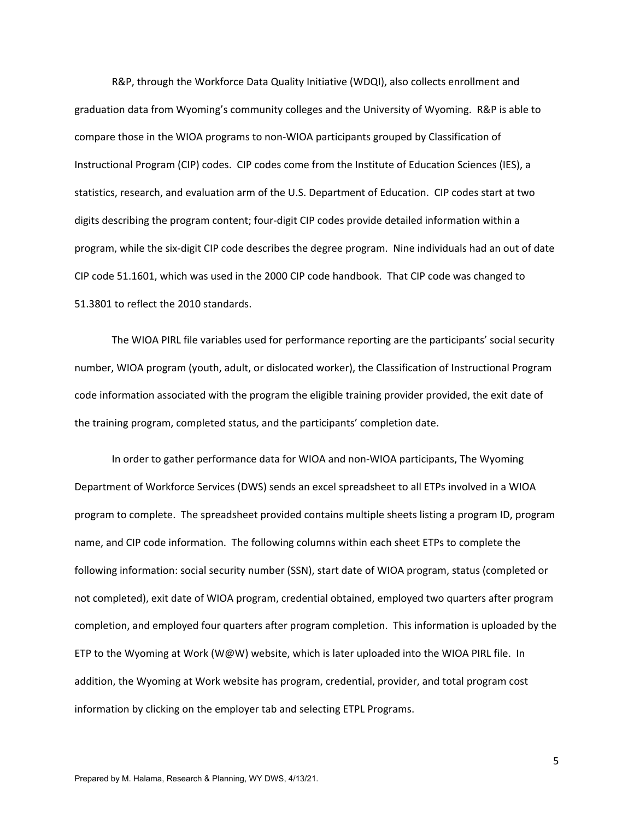R&P, through the Workforce Data Quality Initiative (WDQI), also collects enrollment and graduation data from Wyoming's community colleges and the University of Wyoming. R&P is able to compare those in the WIOA programs to non‐WIOA participants grouped by Classification of Instructional Program (CIP) codes. CIP codes come from the Institute of Education Sciences (IES), a statistics, research, and evaluation arm of the U.S. Department of Education. CIP codes start at two digits describing the program content; four‐digit CIP codes provide detailed information within a program, while the six‐digit CIP code describes the degree program. Nine individuals had an out of date CIP code 51.1601, which was used in the 2000 CIP code handbook. That CIP code was changed to 51.3801 to reflect the 2010 standards.

The WIOA PIRL file variables used for performance reporting are the participants' social security number, WIOA program (youth, adult, or dislocated worker), the Classification of Instructional Program code information associated with the program the eligible training provider provided, the exit date of the training program, completed status, and the participants' completion date.

In order to gather performance data for WIOA and non‐WIOA participants, The Wyoming Department of Workforce Services (DWS) sends an excel spreadsheet to all ETPs involved in a WIOA program to complete. The spreadsheet provided contains multiple sheets listing a program ID, program name, and CIP code information. The following columns within each sheet ETPs to complete the following information: social security number (SSN), start date of WIOA program, status (completed or not completed), exit date of WIOA program, credential obtained, employed two quarters after program completion, and employed four quarters after program completion. This information is uploaded by the ETP to the Wyoming at Work (W@W) website, which is later uploaded into the WIOA PIRL file. In addition, the Wyoming at Work website has program, credential, provider, and total program cost information by clicking on the employer tab and selecting ETPL Programs.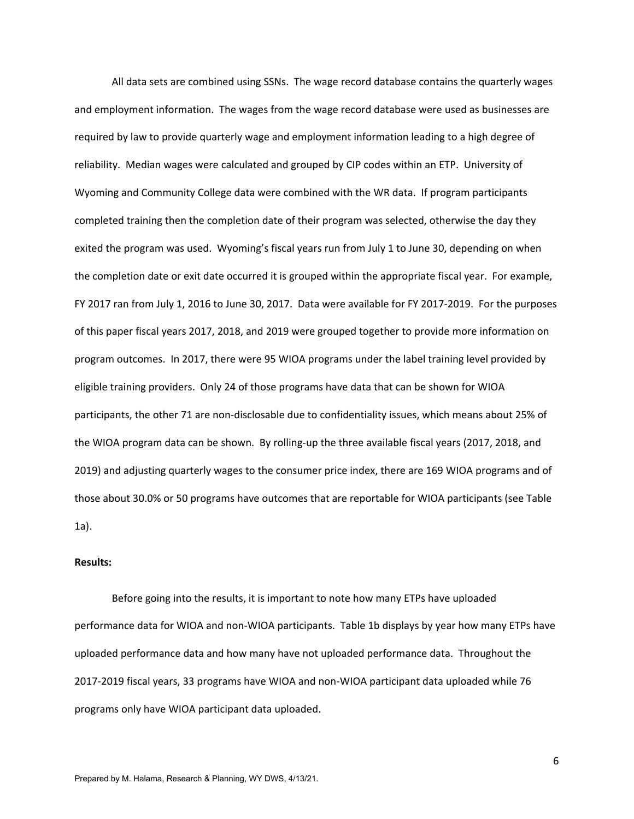All data sets are combined using SSNs. The wage record database contains the quarterly wages and employment information. The wages from the wage record database were used as businesses are required by law to provide quarterly wage and employment information leading to a high degree of reliability. Median wages were calculated and grouped by CIP codes within an ETP. University of Wyoming and Community College data were combined with the WR data. If program participants completed training then the completion date of their program was selected, otherwise the day they exited the program was used. Wyoming's fiscal years run from July 1 to June 30, depending on when the completion date or exit date occurred it is grouped within the appropriate fiscal year. For example, FY 2017 ran from July 1, 2016 to June 30, 2017. Data were available for FY 2017‐2019. For the purposes of this paper fiscal years 2017, 2018, and 2019 were grouped together to provide more information on program outcomes. In 2017, there were 95 WIOA programs under the label training level provided by eligible training providers. Only 24 of those programs have data that can be shown for WIOA participants, the other 71 are non‐disclosable due to confidentiality issues, which means about 25% of the WIOA program data can be shown. By rolling‐up the three available fiscal years (2017, 2018, and 2019) and adjusting quarterly wages to the consumer price index, there are 169 WIOA programs and of those about 30.0% or 50 programs have outcomes that are reportable for WIOA participants (see Table 1a).

#### **Results:**

 Before going into the results, it is important to note how many ETPs have uploaded performance data for WIOA and non‐WIOA participants. Table 1b displays by year how many ETPs have uploaded performance data and how many have not uploaded performance data. Throughout the 2017‐2019 fiscal years, 33 programs have WIOA and non‐WIOA participant data uploaded while 76 programs only have WIOA participant data uploaded.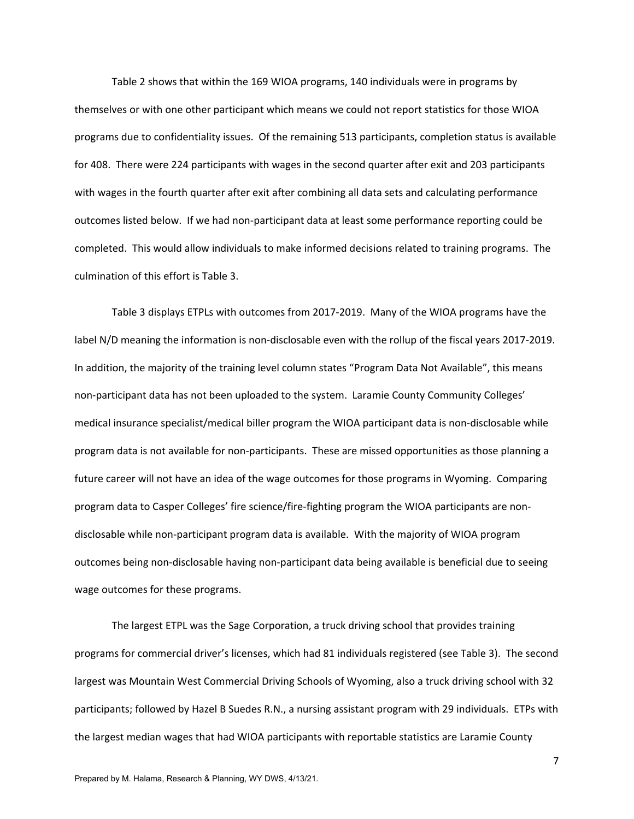Table 2 shows that within the 169 WIOA programs, 140 individuals were in programs by themselves or with one other participant which means we could not report statistics for those WIOA programs due to confidentiality issues. Of the remaining 513 participants, completion status is available for 408. There were 224 participants with wages in the second quarter after exit and 203 participants with wages in the fourth quarter after exit after combining all data sets and calculating performance outcomes listed below. If we had non‐participant data at least some performance reporting could be completed. This would allow individuals to make informed decisions related to training programs. The culmination of this effort is Table 3.

 Table 3 displays ETPLs with outcomes from 2017‐2019. Many of the WIOA programs have the label N/D meaning the information is non-disclosable even with the rollup of the fiscal years 2017-2019. In addition, the majority of the training level column states "Program Data Not Available", this means non‐participant data has not been uploaded to the system. Laramie County Community Colleges' medical insurance specialist/medical biller program the WIOA participant data is non‐disclosable while program data is not available for non‐participants. These are missed opportunities as those planning a future career will not have an idea of the wage outcomes for those programs in Wyoming. Comparing program data to Casper Colleges' fire science/fire‐fighting program the WIOA participants are non‐ disclosable while non‐participant program data is available. With the majority of WIOA program outcomes being non‐disclosable having non‐participant data being available is beneficial due to seeing wage outcomes for these programs.

The largest ETPL was the Sage Corporation, a truck driving school that provides training programs for commercial driver's licenses, which had 81 individuals registered (see Table 3). The second largest was Mountain West Commercial Driving Schools of Wyoming, also a truck driving school with 32 participants; followed by Hazel B Suedes R.N., a nursing assistant program with 29 individuals. ETPs with the largest median wages that had WIOA participants with reportable statistics are Laramie County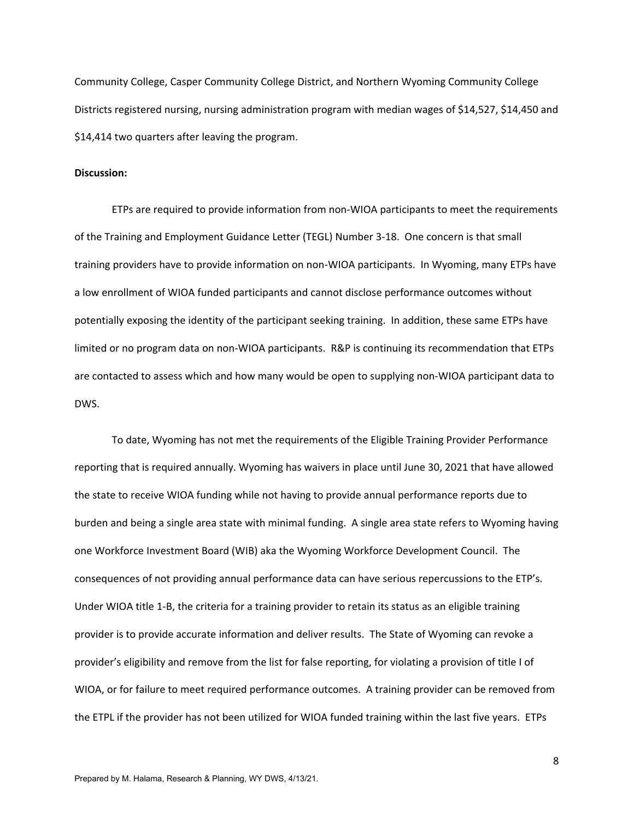Community College, Casper Community College District, and Northern Wyoming Community College Districts registered nursing, nursing administration program with median wages of \$14,527, \$14,450 and \$14,414 two quarters after leaving the program.

#### **Discussion:**

ETPs are required to provide information from non‐WIOA participants to meet the requirements of the Training and Employment Guidance Letter (TEGL) Number 3‐18. One concern is that small training providers have to provide information on non‐WIOA participants. In Wyoming, many ETPs have a low enrollment of WIOA funded participants and cannot disclose performance outcomes without potentially exposing the identity of the participant seeking training. In addition, these same ETPs have limited or no program data on non-WIOA participants. R&P is continuing its recommendation that ETPs are contacted to assess which and how many would be open to supplying non‐WIOA participant data to DWS.

To date, Wyoming has not met the requirements of the Eligible Training Provider Performance reporting that is required annually. Wyoming has waivers in place until June 30, 2021 that have allowed the state to receive WIOA funding while not having to provide annual performance reports due to burden and being a single area state with minimal funding. A single area state refers to Wyoming having one Workforce Investment Board (WIB) aka the Wyoming Workforce Development Council. The consequences of not providing annual performance data can have serious repercussions to the ETP's. Under WIOA title 1‐B, the criteria for a training provider to retain its status as an eligible training provider is to provide accurate information and deliver results. The State of Wyoming can revoke a provider's eligibility and remove from the list for false reporting, for violating a provision of title I of WIOA, or for failure to meet required performance outcomes. A training provider can be removed from the ETPL if the provider has not been utilized for WIOA funded training within the last five years. ETPs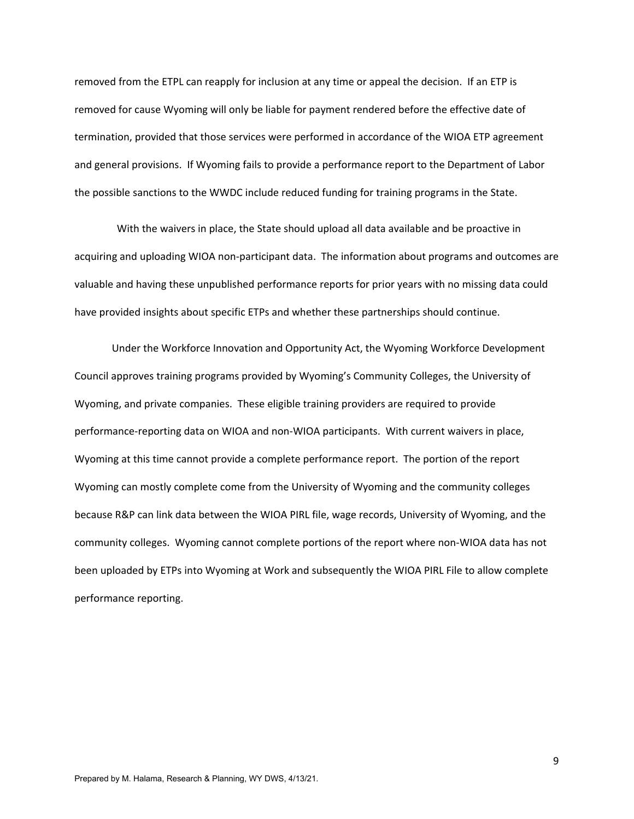removed from the ETPL can reapply for inclusion at any time or appeal the decision. If an ETP is removed for cause Wyoming will only be liable for payment rendered before the effective date of termination, provided that those services were performed in accordance of the WIOA ETP agreement and general provisions. If Wyoming fails to provide a performance report to the Department of Labor the possible sanctions to the WWDC include reduced funding for training programs in the State.

 With the waivers in place, the State should upload all data available and be proactive in acquiring and uploading WIOA non‐participant data. The information about programs and outcomes are valuable and having these unpublished performance reports for prior years with no missing data could have provided insights about specific ETPs and whether these partnerships should continue.

Under the Workforce Innovation and Opportunity Act, the Wyoming Workforce Development Council approves training programs provided by Wyoming's Community Colleges, the University of Wyoming, and private companies. These eligible training providers are required to provide performance-reporting data on WIOA and non-WIOA participants. With current waivers in place, Wyoming at this time cannot provide a complete performance report. The portion of the report Wyoming can mostly complete come from the University of Wyoming and the community colleges because R&P can link data between the WIOA PIRL file, wage records, University of Wyoming, and the community colleges. Wyoming cannot complete portions of the report where non‐WIOA data has not been uploaded by ETPs into Wyoming at Work and subsequently the WIOA PIRL File to allow complete performance reporting.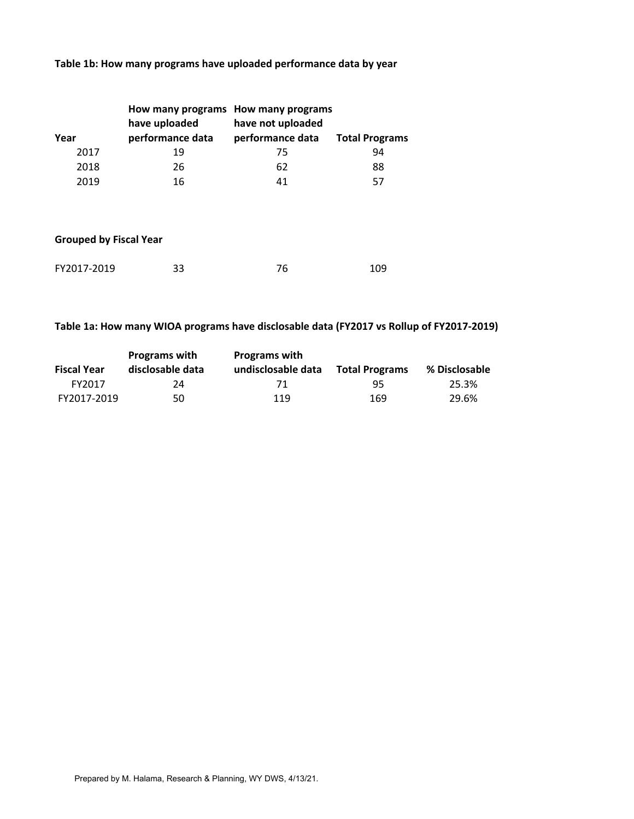# **Table 1b: How many programs have uploaded performance data by year**

|      | How many programs How many programs |                   |                       |
|------|-------------------------------------|-------------------|-----------------------|
|      | have uploaded                       | have not uploaded |                       |
| Year | performance data                    | performance data  | <b>Total Programs</b> |
| 2017 | 19                                  | 75                | 94                    |
| 2018 | 26                                  | 62                | 88                    |
| 2019 | 16                                  | 41                | 57                    |

## **Grouped by Fiscal Year**

| FY2017-2019 | 33 | 109 |
|-------------|----|-----|
|             |    |     |

# **Table 1a: How many WIOA programs have disclosable data (FY2017 vs Rollup of FY2017‐2019)**

|                    | <b>Programs with</b> | <b>Programs with</b> |                       |               |
|--------------------|----------------------|----------------------|-----------------------|---------------|
| <b>Fiscal Year</b> | disclosable data     | undisclosable data   | <b>Total Programs</b> | % Disclosable |
| FY2017             | 24                   | 71                   | 95.                   | 25.3%         |
| FY2017-2019        | 50                   | 119                  | 169                   | 29.6%         |